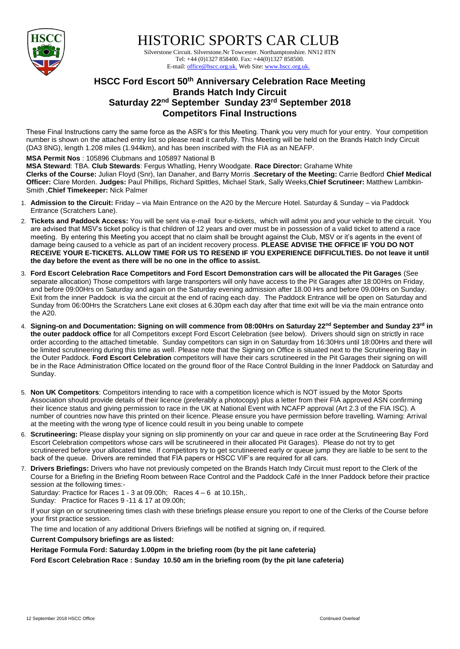

HISTORIC SPORTS CAR CLUB

 Silverstone Circuit. Silverstone.Nr Towcester. Northamptonshire. NN12 8TN Tel: +44 (0)1327 858400. Fax: +44(0)1327 858500. E-mail: office@hscc.org.uk. Web Site: www.hscc.org.uk.

## **HSCC Ford Escort 50th Anniversary Celebration Race Meeting Brands Hatch Indy Circuit Saturday 22nd September Sunday 23rd September 2018 Competitors Final Instructions**

These Final Instructions carry the same force as the ASR's for this Meeting. Thank you very much for your entry. Your competition number is shown on the attached entry list so please read it carefully. This Meeting will be held on the Brands Hatch Indy Circuit (DA3 8NG), length 1.208 miles (1.944km), and has been inscribed with the FIA as an NEAFP.

## **MSA Permit Nos** : 105896 Clubmans and 105897 National B

**MSA Steward**: TBA. **Club Stewards**: Fergus Whatling, Henry Woodgate. **Race Director:** Grahame White **Clerks of the Course:** Julian Floyd (Snr), Ian Danaher, and Barry Morris .**Secretary of the Meeting:** Carrie Bedford **Chief Medical Officer:** Clare Morden. **Judges:** Paul Phillips, Richard Spittles, Michael Stark, Sally Weeks,**Chief Scrutineer:** Matthew Lambkin-Smith ,**Chief Timekeeper:** Nick Palmer

- 1. **Admission to the Circuit:** Friday via Main Entrance on the A20 by the Mercure Hotel. Saturday & Sunday via Paddock Entrance (Scratchers Lane).
- 2. **Tickets and Paddock Access:** You will be sent via e-mail four e-tickets, which will admit you and your vehicle to the circuit. You are advised that MSV's ticket policy is that children of 12 years and over must be in possession of a valid ticket to attend a race meeting. By entering this Meeting you accept that no claim shall be brought against the Club, MSV or it's agents in the event of damage being caused to a vehicle as part of an incident recovery process. **PLEASE ADVISE THE OFFICE IF YOU DO NOT RECEIVE YOUR E-TICKETS. ALLOW TIME FOR US TO RESEND IF YOU EXPERIENCE DIFFICULTIES. Do not leave it until the day before the event as there will be no one in the office to assist.**
- 3. **Ford Escort Celebration Race Competitors and Ford Escort Demonstration cars will be allocated the Pit Garages** (See separate allocation) Those competitors with large transporters will only have access to the Pit Garages after 18:00Hrs on Friday, and before 09:00Hrs on Saturday and again on the Saturday evening admission after 18.00 Hrs and before 09.00Hrs on Sunday. Exit from the inner Paddock is via the circuit at the end of racing each day. The Paddock Entrance will be open on Saturday and Sunday from 06:00Hrs the Scratchers Lane exit closes at 6.30pm each day after that time exit will be via the main entrance onto the A20.
- 4. **Signing-on and Documentation: Signing on will commence from 08:00Hrs on Saturday 22nd September and Sunday 23rd in the outer paddock office** for all Competitors except Ford Escort Celebration (see below). Drivers should sign on strictly in race order according to the attached timetable. Sunday competitors can sign in on Saturday from 16:30Hrs until 18:00Hrs and there will be limited scrutineering during this time as well. Please note that the Signing on Office is situated next to the Scrutineering Bay in the Outer Paddock. **Ford Escort Celebration** competitors will have their cars scrutineered in the Pit Garages their signing on will be in the Race Administration Office located on the ground floor of the Race Control Building in the Inner Paddock on Saturday and Sunday.
- 5. **Non UK Competitors**: Competitors intending to race with a competition licence which is NOT issued by the Motor Sports Association should provide details of their licence (preferably a photocopy) plus a letter from their FIA approved ASN confirming their licence status and giving permission to race in the UK at National Event with NCAFP approval (Art 2.3 of the FIA ISC). A number of countries now have this printed on their licence. Please ensure you have permission before travelling. Warning: Arrival at the meeting with the wrong type of licence could result in you being unable to compete
- 6. **Scrutineering:** Please display your signing on slip prominently on your car and queue in race order at the Scrutineering Bay Ford Escort Celebration competitors whose cars will be scrutineered in their allocated Pit Garages). Please do not try to get scrutineered before your allocated time. If competitors try to get scrutineered early or queue jump they are liable to be sent to the back of the queue. Drivers are reminded that FIA papers or HSCC VIF's are required for all cars.
- 7. **Drivers Briefings:** Drivers who have not previously competed on the Brands Hatch Indy Circuit must report to the Clerk of the Course for a Briefing in the Briefing Room between Race Control and the Paddock Café in the Inner Paddock before their practice session at the following times:-

Saturday: Practice for Races  $1 - 3$  at 09.00h; Races  $4 - 6$  at 10.15h,. Sunday: Practice for Races 9 -11 & 17 at 09.00h;

If your sign on or scrutineering times clash with these briefings please ensure you report to one of the Clerks of the Course before your first practice session.

The time and location of any additional Drivers Briefings will be notified at signing on, if required.

**Current Compulsory briefings are as listed:**

**Heritage Formula Ford: Saturday 1.00pm in the briefing room (by the pit lane cafeteria)**

**Ford Escort Celebration Race : Sunday 10.50 am in the briefing room (by the pit lane cafeteria)**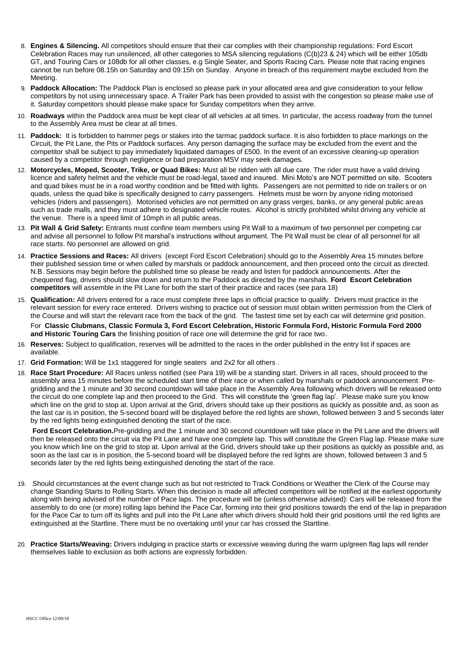- 8. **Engines & Silencing.** All competitors should ensure that their car complies with their championship regulations: Ford Escort Celebration Races may run unsilenced, all other categories to MSA silencing regulations (C(b)23 & 24) which will be either 105db GT, and Touring Cars or 108db for all other classes, e.g Single Seater, and Sports Racing Cars. Please note that racing engines cannot be run before 08.15h on Saturday and 09:15h on Sunday. Anyone in breach of this requirement maybe excluded from the Meeting.
- 9. **Paddock Allocation:** The Paddock Plan is enclosed so please park in your allocated area and give consideration to your fellow competitors by not using unnecessary space. A Trailer Park has been provided to assist with the congestion so please make use of it. Saturday competitors should please make space for Sunday competitors when they arrive.
- 10. **Roadways** within the Paddock area must be kept clear of all vehicles at all times. In particular, the access roadway from the tunnel to the Assembly Area must be clear at all times.
- 11. **Paddock:** It is forbidden to hammer pegs or stakes into the tarmac paddock surface. It is also forbidden to place markings on the Circuit, the Pit Lane, the Pits or Paddock surfaces. Any person damaging the surface may be excluded from the event and the competitor shall be subject to pay immediately liquidated damages of £500. In the event of an excessive cleaning-up operation caused by a competitor through negligence or bad preparation MSV may seek damages.
- 12. **Motorcycles, Moped, Scooter, Trike, or Quad Bikes:** Must all be ridden with all due care. The rider must have a valid driving licence and safety helmet and the vehicle must be road-legal, taxed and insured. Mini Moto's are NOT permitted on site. Scooters and quad bikes must be in a road worthy condition and be fitted with lights. Passengers are not permitted to ride on trailers or on quads, unless the quad bike is specifically designed to carry passengers. Helmets must be worn by anyone riding motorised vehicles (riders and passengers). Motorised vehicles are not permitted on any grass verges, banks, or any general public areas such as trade malls, and they must adhere to designated vehicle routes. Alcohol is strictly prohibited whilst driving any vehicle at the venue. There is a speed limit of 10mph in all public areas.
- 13. **Pit Wall & Grid Safety:** Entrants must confine team members using Pit Wall to a maximum of two personnel per competing car and advise all personnel to follow Pit marshal's instructions without argument. The Pit Wall must be clear of all personnel for all race starts. No personnel are allowed on grid.
- 14. **Practice Sessions and Races:** All drivers (except Ford Escort Celebration) should go to the Assembly Area 15 minutes before their published session time or when called by marshals or paddock announcement, and then proceed onto the circuit as directed. N.B. Sessions may begin before the published time so please be ready and listen for paddock announcements. After the chequered flag, drivers should slow down and return to the Paddock as directed by the marshals. **Ford Escort Celebration competitors** will assemble in the Pit Lane for both the start of their practice and races (see para 18)
- 15. **Qualification:** All drivers entered for a race must complete three laps in official practice to qualify. Drivers must practice in the relevant session for every race entered. Drivers wishing to practice out of session must obtain written permission from the Clerk of the Course and will start the relevant race from the back of the grid. The fastest time set by each car will determine grid position. For **Classic Clubmans, Classic Formula 3, Ford Escort Celebration, Historic Formula Ford, Historic Formula Ford 2000 and Historic Touring Cars** the finishing position of race one will determine the grid for race two.
- 16. **Reserves:** Subject to qualification, reserves will be admitted to the races in the order published in the entry list if spaces are available.
- 17. **Grid Formation:** Will be 1x1 staggered for single seaters and 2x2 for all others .
- 18. **Race Start Procedure:** All Races unless notified (see Para 19) will be a standing start. Drivers in all races, should proceed to the assembly area 15 minutes before the scheduled start time of their race or when called by marshals or paddock announcement. Pregridding and the 1 minute and 30 second countdown will take place in the Assembly Area following which drivers will be released onto the circuit do one complete lap and then proceed to the Grid. This will constitute the 'green flag lap'. Please make sure you know which line on the grid to stop at. Upon arrival at the Grid, drivers should take up their positions as quickly as possible and, as soon as the last car is in position, the 5-second board will be displayed before the red lights are shown, followed between 3 and 5 seconds later by the red lights being extinguished denoting the start of the race.

**Ford Escort Celebration.**Pre-gridding and the 1 minute and 30 second countdown will take place in the Pit Lane and the drivers will then be released onto the circuit via the Pit Lane and have one complete lap. This will constitute the Green Flag lap. Please make sure you know which line on the grid to stop at. Upon arrival at the Grid, drivers should take up their positions as quickly as possible and, as soon as the last car is in position, the 5-second board will be displayed before the red lights are shown, followed between 3 and 5 seconds later by the red lights being extinguished denoting the start of the race.

- 19. Should circumstances at the event change such as but not restricted to Track Conditions or Weather the Clerk of the Course may change Standing Starts to Rolling Starts. When this decision is made all affected competitors will be notified at the earliest opportunity along with being advised of the number of Pace laps. The procedure will be (unless otherwise advised): Cars will be released from the assembly to do one (or more) rolling laps behind the Pace Car, forming into their grid positions towards the end of the lap in preparation for the Pace Car to turn off its lights and pull into the Pit Lane after which drivers should hold their grid positions until the red lights are extinguished at the Startline. There must be no overtaking until your car has crossed the Startline.
- 20. **Practice Starts/Weaving:** Drivers indulging in practice starts or excessive weaving during the warm up/green flag laps will render themselves liable to exclusion as both actions are expressly forbidden.